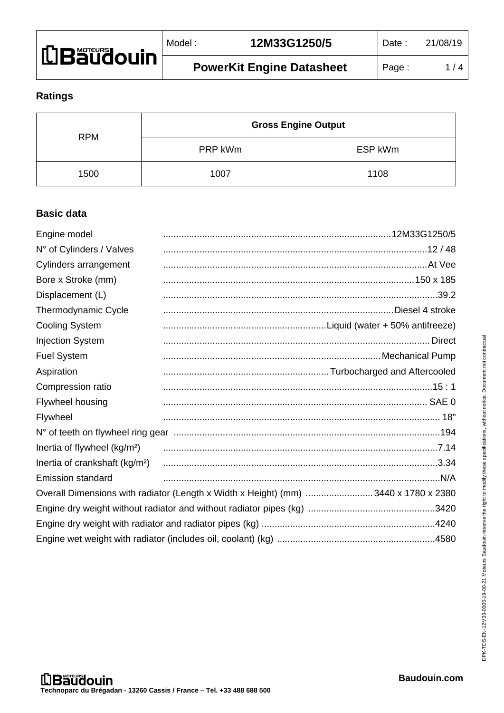| <b>LIBäüdouin</b> | Model : | 12M33G1250/5                     |  |
|-------------------|---------|----------------------------------|--|
|                   |         | <b>PowerKit Engine Datasheet</b> |  |

# **Ratings**

|            | <b>Gross Engine Output</b> |         |
|------------|----------------------------|---------|
| <b>RPM</b> | PRP kWm                    | ESP kWm |
| 1500       | 1007                       | 1108    |

# **Basic data**

| Engine model                               |                                                                                    |
|--------------------------------------------|------------------------------------------------------------------------------------|
| N° of Cylinders / Valves                   |                                                                                    |
| Cylinders arrangement                      |                                                                                    |
| Bore x Stroke (mm)                         |                                                                                    |
| Displacement (L)                           |                                                                                    |
| Thermodynamic Cycle                        |                                                                                    |
| <b>Cooling System</b>                      |                                                                                    |
| <b>Injection System</b>                    |                                                                                    |
| <b>Fuel System</b>                         |                                                                                    |
| Aspiration                                 |                                                                                    |
| Compression ratio                          |                                                                                    |
| Flywheel housing                           |                                                                                    |
| Flywheel                                   |                                                                                    |
|                                            |                                                                                    |
| Inertia of flywheel (kg/m <sup>2</sup> )   |                                                                                    |
| Inertia of crankshaft (kg/m <sup>2</sup> ) |                                                                                    |
| <b>Emission standard</b>                   |                                                                                    |
|                                            | Overall Dimensions with radiator (Length x Width x Height) (mm) 3440 x 1780 x 2380 |
|                                            |                                                                                    |
|                                            |                                                                                    |
|                                            |                                                                                    |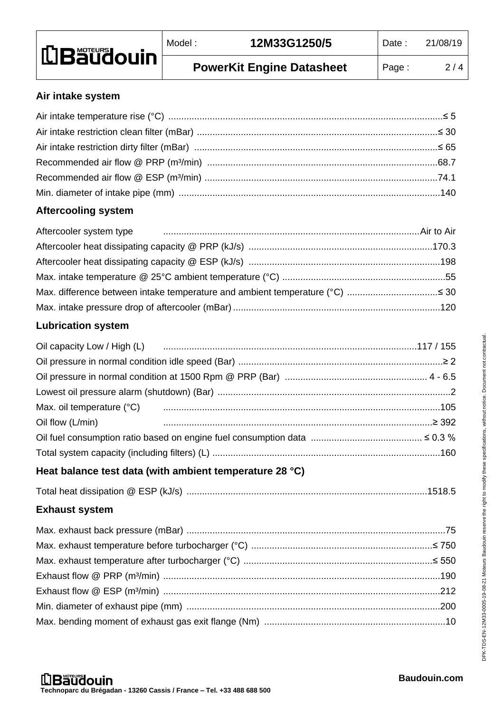| <b>LBaudouin</b> | Model : | 12M33G1250/5                     | Date : | 21/08/19 |
|------------------|---------|----------------------------------|--------|----------|
|                  |         | <b>PowerKit Engine Datasheet</b> | Page:  | 2/4      |

#### **Air intake system**

## **Aftercooling system**

# **Lubrication system**

| Max. oil temperature (°C) manufacture (000 minimum contracto contracto manufacture (000 minimum contracto mini |  |
|----------------------------------------------------------------------------------------------------------------|--|
| Oil flow (L/min) 2392                                                                                          |  |
|                                                                                                                |  |
|                                                                                                                |  |

# **Heat balance test data (with ambient temperature 28 °C)**

|--|--|

# **Exhaust system**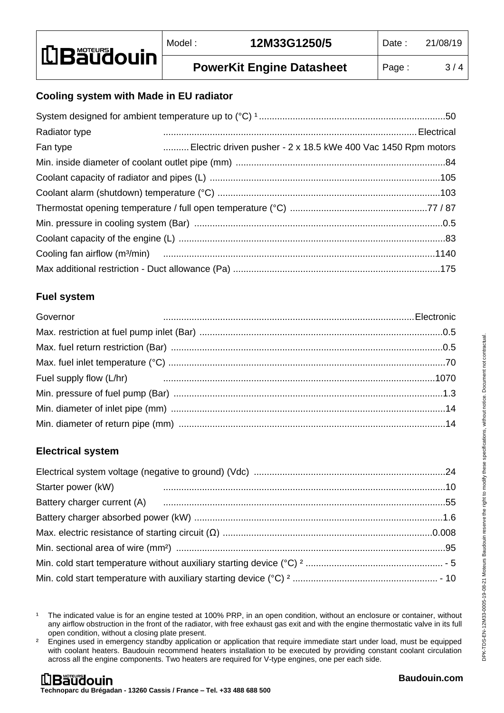### **Cooling system with Made in EU radiator**

| Radiator type |                                                               |
|---------------|---------------------------------------------------------------|
| Fan type      | Electric driven pusher - 2 x 18.5 kWe 400 Vac 1450 Rpm motors |
|               |                                                               |
|               |                                                               |
|               |                                                               |
|               |                                                               |
|               |                                                               |
|               |                                                               |
|               |                                                               |
|               |                                                               |

## **Fuel system**

| Governor |  |
|----------|--|
|          |  |
|          |  |
|          |  |
|          |  |
|          |  |
|          |  |
|          |  |

#### **Electrical system**

| Starter power (kW) |  |
|--------------------|--|
|                    |  |
|                    |  |
|                    |  |
|                    |  |
|                    |  |
|                    |  |
|                    |  |

<sup>&</sup>lt;sup>1</sup> The indicated value is for an engine tested at 100% PRP, in an open condition, without an enclosure or container, without any airflow obstruction in the front of the radiator, with free exhaust gas exit and with the engine thermostatic valve in its full open condition, without a closing plate present.

<sup>&</sup>lt;sup>2</sup> Engines used in emergency standby application or application that require immediate start under load, must be equipped with coolant heaters. Baudouin recommend heaters installation to be executed by providing constant coolant circulation across all the engine components. Two heaters are required for V-type engines, one per each side.